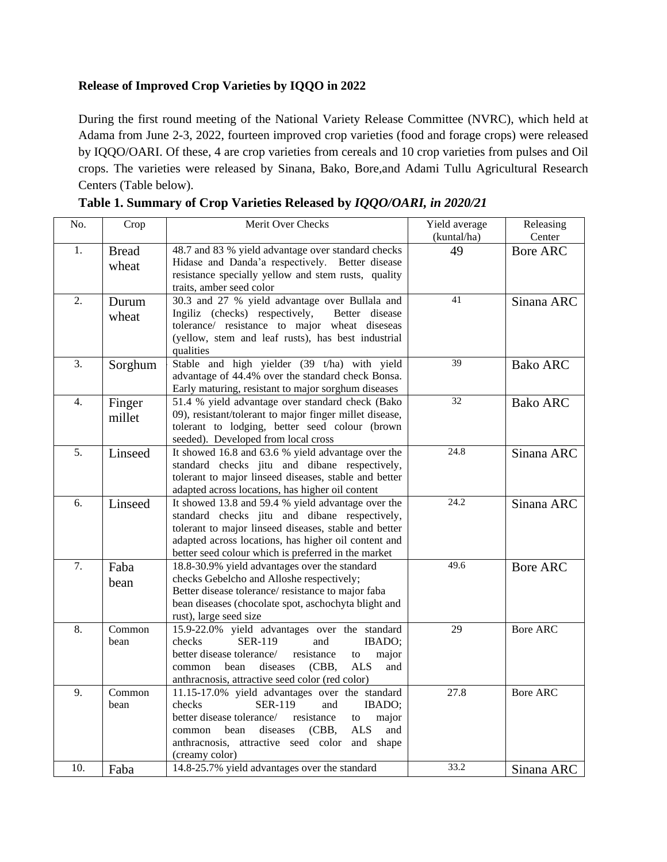## **Release of Improved Crop Varieties by IQQO in 2022**

During the first round meeting of the National Variety Release Committee (NVRC), which held at Adama from June 2-3, 2022, fourteen improved crop varieties (food and forage crops) were released by IQQO/OARI. Of these, 4 are crop varieties from cereals and 10 crop varieties from pulses and Oil crops. The varieties were released by Sinana, Bako, Bore,and Adami Tullu Agricultural Research Centers (Table below).

| No. | Crop                  | Merit Over Checks                                                                                                                                                                                                                                                                    | Yield average | Releasing       |
|-----|-----------------------|--------------------------------------------------------------------------------------------------------------------------------------------------------------------------------------------------------------------------------------------------------------------------------------|---------------|-----------------|
|     |                       |                                                                                                                                                                                                                                                                                      | (kuntal/ha)   | Center          |
| 1.  | <b>Bread</b><br>wheat | 48.7 and 83 % yield advantage over standard checks<br>Hidase and Danda'a respectively. Better disease<br>resistance specially yellow and stem rusts, quality<br>traits, amber seed color                                                                                             | 49            | <b>Bore ARC</b> |
| 2.  | Durum<br>wheat        | 30.3 and 27 % yield advantage over Bullala and<br>Ingiliz (checks) respectively,<br>Better disease<br>tolerance/ resistance to major wheat diseseas<br>(yellow, stem and leaf rusts), has best industrial<br>qualities                                                               | 41            | Sinana ARC      |
| 3.  | Sorghum               | Stable and high yielder (39 t/ha) with yield<br>advantage of 44.4% over the standard check Bonsa.<br>Early maturing, resistant to major sorghum diseases                                                                                                                             | 39            | <b>Bako ARC</b> |
| 4.  | Finger<br>millet      | 51.4 % yield advantage over standard check (Bako<br>09), resistant/tolerant to major finger millet disease,<br>tolerant to lodging, better seed colour (brown<br>seeded). Developed from local cross                                                                                 | 32            | <b>Bako ARC</b> |
| 5.  | Linseed               | It showed 16.8 and 63.6 % yield advantage over the<br>standard checks jitu and dibane respectively,<br>tolerant to major linseed diseases, stable and better<br>adapted across locations, has higher oil content                                                                     | 24.8          | Sinana ARC      |
| 6.  | Linseed               | It showed 13.8 and 59.4 % yield advantage over the<br>standard checks jitu and dibane respectively,<br>tolerant to major linseed diseases, stable and better<br>adapted across locations, has higher oil content and<br>better seed colour which is preferred in the market          | 24.2          | Sinana ARC      |
| 7.  | Faba<br>bean          | 18.8-30.9% yield advantages over the standard<br>checks Gebelcho and Alloshe respectively;<br>Better disease tolerance/resistance to major faba<br>bean diseases (chocolate spot, aschochyta blight and<br>rust), large seed size                                                    | 49.6          | <b>Bore ARC</b> |
| 8.  | Common<br>bean        | 15.9-22.0% yield advantages over the standard<br>checks<br><b>SER-119</b><br>and<br>IBADO;<br>better disease tolerance/<br>resistance<br>major<br>to<br>bean<br>diseases<br>(CBB,<br>ALS<br>common<br>and<br>anthracnosis, attractive seed color (red color)                         | 29            | <b>Bore ARC</b> |
| 9.  | Common<br>bean        | 11.15-17.0% yield advantages over the standard<br>checks<br><b>SER-119</b><br>IBADO;<br>and<br>better disease tolerance/<br>resistance<br>major<br>to<br><b>ALS</b><br>bean<br>diseases<br>(CBB,<br>and<br>common<br>anthracnosis, attractive seed color and shape<br>(creamy color) | 27.8          | <b>Bore ARC</b> |
| 10. | Faba                  | 14.8-25.7% yield advantages over the standard                                                                                                                                                                                                                                        | 33.2          | Sinana ARC      |

**Table 1. Summary of Crop Varieties Released by** *IQQO/OARI, in 2020/21*